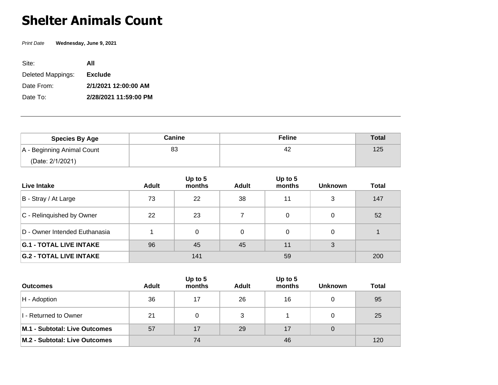## **Shelter Animals Count**

Print Date **Wednesday, June 9, 2021**

| Site:             | All                   |
|-------------------|-----------------------|
| Deleted Mappings: | <b>Exclude</b>        |
| Date From:        | 2/1/2021 12:00:00 AM  |
| Date To:          | 2/28/2021 11:59:00 PM |

| <b>Species By Age</b>      | Canine | <b>Feline</b> | <b>Total</b> |
|----------------------------|--------|---------------|--------------|
| A - Beginning Animal Count | 83     | 42            | 125          |
| (Date: 2/1/2021)           |        |               |              |

| Live Intake                    | <b>Adult</b> | Up to $5$<br>months | Adult | Up to $5$<br>months | <b>Unknown</b> | <b>Total</b> |
|--------------------------------|--------------|---------------------|-------|---------------------|----------------|--------------|
| B - Stray / At Large           | 73           | 22                  | 38    | 11                  | 3              | 147          |
| C - Relinguished by Owner      | 22           | 23                  |       | 0                   | 0              | 52           |
| D - Owner Intended Euthanasia  |              | $\Omega$            | 0     | 0                   | 0              |              |
| <b>G.1 - TOTAL LIVE INTAKE</b> | 96           | 45                  | 45    | 11                  | 3              |              |
| <b>G.2 - TOTAL LIVE INTAKE</b> |              | 141                 |       | 59                  |                | 200          |

| <b>Outcomes</b>               | Adult | Up to $5$<br>months | <b>Adult</b> | Up to 5<br>months | <b>Unknown</b> | <b>Total</b> |
|-------------------------------|-------|---------------------|--------------|-------------------|----------------|--------------|
| $H -$ Adoption                | 36    | 17                  | 26           | 16                |                | 95           |
| I - Returned to Owner         | 21    |                     | 3            |                   |                | 25           |
| M.1 - Subtotal: Live Outcomes | 57    | 17                  | 29           | 17                | 0              |              |
| M.2 - Subtotal: Live Outcomes |       | 74                  |              | 46                |                | 120          |